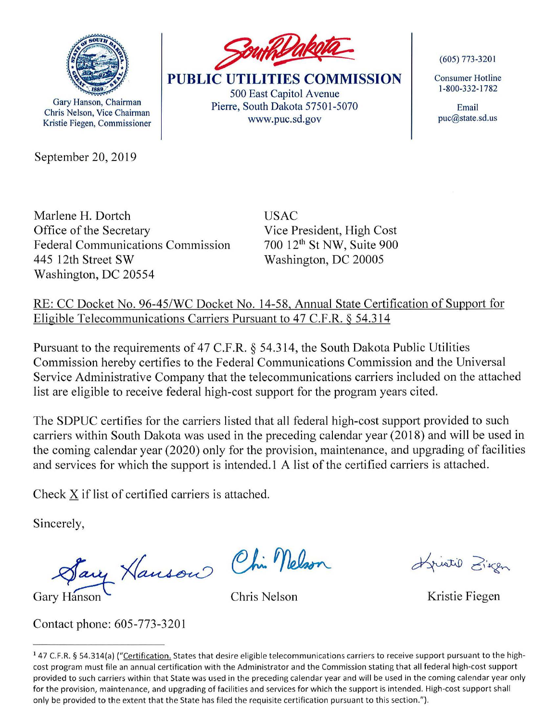

Gary Hanson, Chairman Chris Nelson, Vice Chairman Kristie Fiegen, Commissioner

September 20, 2019



**PUBLIC UTILITIES COMMISSION**  500 East Capitol Avenue Pierre, South Dakota 57501-5070 www.puc.sd.gov

(605) 773-320 I

Consumer Hotline 1-800-332-1782

Email puc@state.sd.us

Marlene **H.** Dortch Office of the Secretary Federal Communications Commission 445 12th Street SW Washington, DC 20554

USAC Vice President, High Cost 700 12th St NW, Suite 900 Washington, DC 20005

RE: CC Docket No. 96-45/WC Docket No. 14-58, Annual State Certification of Support for Eligible Telecommunications Carriers Pursuant to 47 C.F.R. § 54.314

Pursuant to the requirements of 47 C.F.R.  $\S$  54.314, the South Dakota Public Utilities Commission hereby certifies to the Federal Communications Commission and the Universal Service Administrative Company that the telecommunications carriers included on the attached list are eligible to receive federal high-cost support for the program years cited.

The SDPUC certifies for the carriers listed that all federal high-cost support provided to such carriers within South Dakota was used in the preceding calendar year (2018) and will be used in the coming calendar year (2020) only for the provision, maintenance, and upgrading of facilities and services for which the support is intended. I A list of the certified carriers is attached.

Check X if list of certified carriers is attached.

Sincerely,

cerely,<br>Sary Hanson Chin Nelson

Gary Hanson **Chris Nelson Chris Nelson Kristie Fiegen** 

Contact phone: 605-773-3201

Invited Ziegen

<sup>&</sup>lt;sup>1</sup> 47 C.F.R. § 54.314(a) ("Certification. States that desire eligible telecommunications carriers to receive support pursuant to the highcost program must file an annual certification with the Administrator and the Commission stating that all federal high-cost support provided to such carriers within that State was used in the preceding calendar year and will be used in the coming calendar year only for the provision, maintenance, and upgrading of facilities and services for which the support is intended. High-cost support shall only be provided to the extent that the State has filed the requisite certification pursuant to this section.").